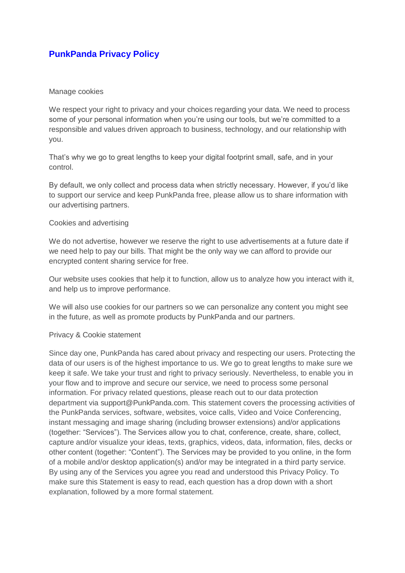# **PunkPanda Privacy Policy**

### Manage cookies

We respect your right to privacy and your choices regarding your data. We need to process some of your personal information when you're using our tools, but we're committed to a responsible and values driven approach to business, technology, and our relationship with you.

That's why we go to great lengths to keep your digital footprint small, safe, and in your control.

By default, we only collect and process data when strictly necessary. However, if you'd like to support our service and keep PunkPanda free, please allow us to share information with our advertising partners.

### Cookies and advertising

We do not advertise, however we reserve the right to use advertisements at a future date if we need help to pay our bills. That might be the only way we can afford to provide our encrypted content sharing service for free.

Our website uses cookies that help it to function, allow us to analyze how you interact with it, and help us to improve performance.

We will also use cookies for our partners so we can personalize any content you might see in the future, as well as promote products by PunkPanda and our partners.

### Privacy & Cookie statement

Since day one, PunkPanda has cared about privacy and respecting our users. Protecting the data of our users is of the highest importance to us. We go to great lengths to make sure we keep it safe. We take your trust and right to privacy seriously. Nevertheless, to enable you in your flow and to improve and secure our service, we need to process some personal information. For privacy related questions, please reach out to our data protection department via support@PunkPanda.com. This statement covers the processing activities of the PunkPanda services, software, websites, voice calls, Video and Voice Conferencing, instant messaging and image sharing (including browser extensions) and/or applications (together: "Services"). The Services allow you to chat, conference, create, share, collect, capture and/or visualize your ideas, texts, graphics, videos, data, information, files, decks or other content (together: "Content"). The Services may be provided to you online, in the form of a mobile and/or desktop application(s) and/or may be integrated in a third party service. By using any of the Services you agree you read and understood this Privacy Policy. To make sure this Statement is easy to read, each question has a drop down with a short explanation, followed by a more formal statement.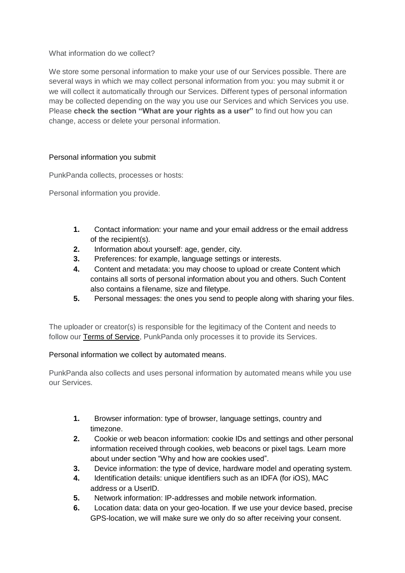What information do we collect?

We store some personal information to make your use of our Services possible. There are several ways in which we may collect personal information from you: you may submit it or we will collect it automatically through our Services. Different types of personal information may be collected depending on the way you use our Services and which Services you use. Please **check the section "What are your rights as a user"** to find out how you can change, access or delete your personal information.

# Personal information you submit

PunkPanda collects, processes or hosts:

Personal information you provide.

- **1.** Contact information: your name and your email address or the email address of the recipient(s).
- **2.** Information about yourself: age, gender, city.
- **3.** Preferences: for example, language settings or interests.
- **4.** Content and metadata: you may choose to upload or create Content which contains all sorts of personal information about you and others. Such Content also contains a filename, size and filetype.
- **5.** Personal messages: the ones you send to people along with sharing your files.

The uploader or creator(s) is responsible for the legitimacy of the Content and needs to follow ou[r](https://wetransfer.com/legal/terms) **Terms of Service**, PunkPanda only processes it to provide its Services.

### Personal information we collect by automated means.

PunkPanda also collects and uses personal information by automated means while you use our Services.

- **1.** Browser information: type of browser, language settings, country and timezone.
- **2.** Cookie or web beacon information: cookie IDs and settings and other personal information received through cookies, web beacons or pixel tags. Learn more about under section "Why and how are cookies used".
- **3.** Device information: the type of device, hardware model and operating system.
- **4.** Identification details: unique identifiers such as an IDFA (for iOS), MAC address or a UserID.
- **5.** Network information: IP-addresses and mobile network information.
- **6.** Location data: data on your geo-location. If we use your device based, precise GPS-location, we will make sure we only do so after receiving your consent.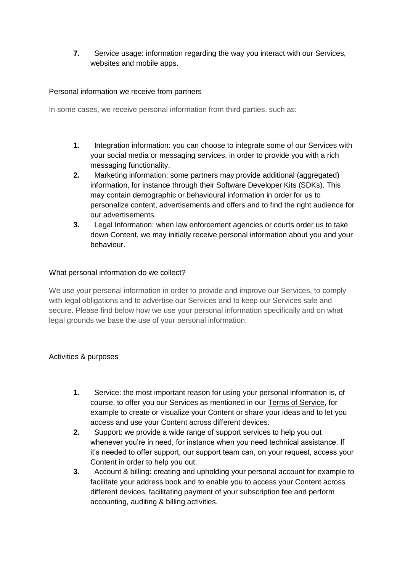**7.** Service usage: information regarding the way you interact with our Services, websites and mobile apps.

### Personal information we receive from partners

In some cases, we receive personal information from third parties, such as:

- **1.** Integration information: you can choose to integrate some of our Services with your social media or messaging services, in order to provide you with a rich messaging functionality.
- **2.** Marketing information: some partners may provide additional (aggregated) information, for instance through their Software Developer Kits (SDKs). This may contain demographic or behavioural information in order for us to personalize content, advertisements and offers and to find the right audience for our advertisements.
- **3.** Legal Information: when law enforcement agencies or courts order us to take down Content, we may initially receive personal information about you and your behaviour.

### What personal information do we collect?

We use your personal information in order to provide and improve our Services, to comply with legal obligations and to advertise our Services and to keep our Services safe and secure. Please find below how we use your personal information specifically and on what legal grounds we base the use of your personal information.

### Activities & purposes

- **1.** Service: the most important reason for using your personal information is, of course, to offer you our Services as mentioned in ou[r](https://wetransfer.com/legal/terms) [Terms of Service,](https://wetransfer.com/legal/terms) for example to create or visualize your Content or share your ideas and to let you access and use your Content across different devices.
- **2.** Support: we provide a wide range of support services to help you out whenever you're in need, for instance when you need technical assistance. If it's needed to offer support, our support team can, on your request, access your Content in order to help you out.
- **3.** Account & billing: creating and upholding your personal account for example to facilitate your address book and to enable you to access your Content across different devices, facilitating payment of your subscription fee and perform accounting, auditing & billing activities.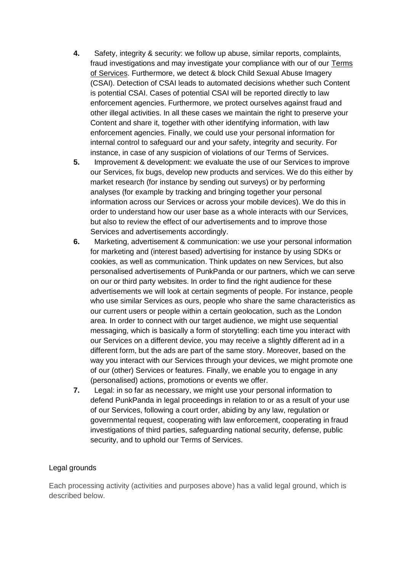- **4.** Safety, integrity & security: we follow up abuse, similar reports, complaints, fraud investigations and may investigate your compliance with our of ou[r](https://wetransfer.com/legal/terms) [Terms](https://wetransfer.com/legal/terms)  [of Services.](https://wetransfer.com/legal/terms) Furthermore, we detect & block Child Sexual Abuse Imagery (CSAI). Detection of CSAI leads to automated decisions whether such Content is potential CSAI. Cases of potential CSAI will be reported directly to law enforcement agencies. Furthermore, we protect ourselves against fraud and other illegal activities. In all these cases we maintain the right to preserve your Content and share it, together with other identifying information, with law enforcement agencies. Finally, we could use your personal information for internal control to safeguard our and your safety, integrity and security. For instance, in case of any suspicion of violations of our Terms of Services.
- **5.** Improvement & development: we evaluate the use of our Services to improve our Services, fix bugs, develop new products and services. We do this either by market research (for instance by sending out surveys) or by performing analyses (for example by tracking and bringing together your personal information across our Services or across your mobile devices). We do this in order to understand how our user base as a whole interacts with our Services, but also to review the effect of our advertisements and to improve those Services and advertisements accordingly.
- **6.** Marketing, advertisement & communication: we use your personal information for marketing and (interest based) advertising for instance by using SDKs or cookies, as well as communication. Think updates on new Services, but also personalised advertisements of PunkPanda or our partners, which we can serve on our or third party websites. In order to find the right audience for these advertisements we will look at certain segments of people. For instance, people who use similar Services as ours, people who share the same characteristics as our current users or people within a certain geolocation, such as the London area. In order to connect with our target audience, we might use sequential messaging, which is basically a form of storytelling: each time you interact with our Services on a different device, you may receive a slightly different ad in a different form, but the ads are part of the same story. Moreover, based on the way you interact with our Services through your devices, we might promote one of our (other) Services or features. Finally, we enable you to engage in any (personalised) actions, promotions or events we offer.
- **7.** Legal: in so far as necessary, we might use your personal information to defend PunkPanda in legal proceedings in relation to or as a result of your use of our Services, following a court order, abiding by any law, regulation or governmental request, cooperating with law enforcement, cooperating in fraud investigations of third parties, safeguarding national security, defense, public security, and to uphold our Terms of Services.

# Legal grounds

Each processing activity (activities and purposes above) has a valid legal ground, which is described below.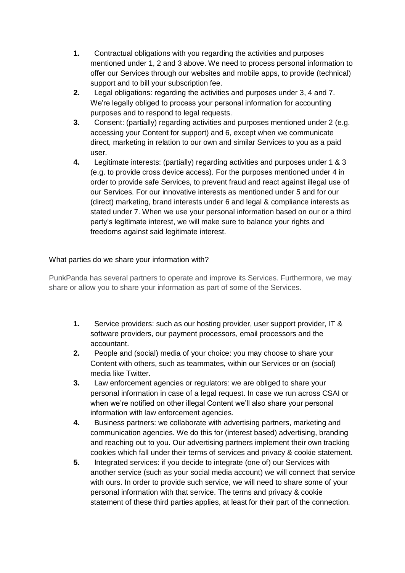- **1.** Contractual obligations with you regarding the activities and purposes mentioned under 1, 2 and 3 above. We need to process personal information to offer our Services through our websites and mobile apps, to provide (technical) support and to bill your subscription fee.
- **2.** Legal obligations: regarding the activities and purposes under 3, 4 and 7. We're legally obliged to process your personal information for accounting purposes and to respond to legal requests.
- **3.** Consent: (partially) regarding activities and purposes mentioned under 2 (e.g. accessing your Content for support) and 6, except when we communicate direct, marketing in relation to our own and similar Services to you as a paid user.
- **4.** Legitimate interests: (partially) regarding activities and purposes under 1 & 3 (e.g. to provide cross device access). For the purposes mentioned under 4 in order to provide safe Services, to prevent fraud and react against illegal use of our Services. For our innovative interests as mentioned under 5 and for our (direct) marketing, brand interests under 6 and legal & compliance interests as stated under 7. When we use your personal information based on our or a third party's legitimate interest, we will make sure to balance your rights and freedoms against said legitimate interest.

# What parties do we share your information with?

PunkPanda has several partners to operate and improve its Services. Furthermore, we may share or allow you to share your information as part of some of the Services.

- **1.** Service providers: such as our hosting provider, user support provider, IT & software providers, our payment processors, email processors and the accountant.
- **2.** People and (social) media of your choice: you may choose to share your Content with others, such as teammates, within our Services or on (social) media like Twitter.
- **3.** Law enforcement agencies or regulators: we are obliged to share your personal information in case of a legal request. In case we run across CSAI or when we're notified on other illegal Content we'll also share your personal information with law enforcement agencies.
- **4.** Business partners: we collaborate with advertising partners, marketing and communication agencies. We do this for (interest based) advertising, branding and reaching out to you. Our advertising partners implement their own tracking cookies which fall under their terms of services and privacy & cookie statement.
- **5.** Integrated services: if you decide to integrate (one of) our Services with another service (such as your social media account) we will connect that service with ours. In order to provide such service, we will need to share some of your personal information with that service. The terms and privacy & cookie statement of these third parties applies, at least for their part of the connection.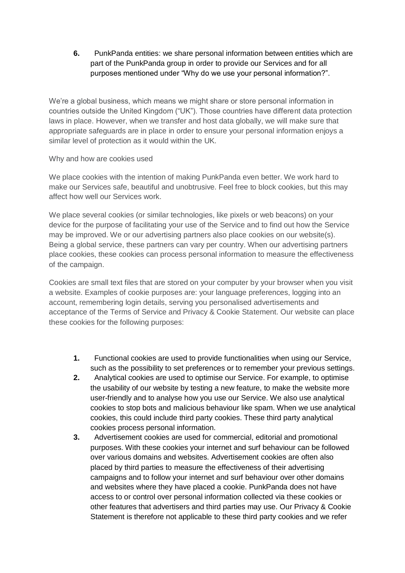**6.** PunkPanda entities: we share personal information between entities which are part of the PunkPanda group in order to provide our Services and for all purposes mentioned under "Why do we use your personal information?".

We're a global business, which means we might share or store personal information in countries outside the United Kingdom ("UK"). Those countries have different data protection laws in place. However, when we transfer and host data globally, we will make sure that appropriate safeguards are in place in order to ensure your personal information enjoys a similar level of protection as it would within the UK.

### Why and how are cookies used

We place cookies with the intention of making PunkPanda even better. We work hard to make our Services safe, beautiful and unobtrusive. Feel free to block cookies, but this may affect how well our Services work.

We place several cookies (or similar technologies, like pixels or web beacons) on your device for the purpose of facilitating your use of the Service and to find out how the Service may be improved. We or our advertising partners also place cookies on our website(s). Being a global service, these partners can vary per country. When our advertising partners place cookies, these cookies can process personal information to measure the effectiveness of the campaign.

Cookies are small text files that are stored on your computer by your browser when you visit a website. Examples of cookie purposes are: your language preferences, logging into an account, remembering login details, serving you personalised advertisements and acceptance of the Terms of Service and Privacy & Cookie Statement. Our website can place these cookies for the following purposes:

- **1.** Functional cookies are used to provide functionalities when using our Service, such as the possibility to set preferences or to remember your previous settings.
- **2.** Analytical cookies are used to optimise our Service. For example, to optimise the usability of our website by testing a new feature, to make the website more user-friendly and to analyse how you use our Service. We also use analytical cookies to stop bots and malicious behaviour like spam. When we use analytical cookies, this could include third party cookies. These third party analytical cookies process personal information.
- **3.** Advertisement cookies are used for commercial, editorial and promotional purposes. With these cookies your internet and surf behaviour can be followed over various domains and websites. Advertisement cookies are often also placed by third parties to measure the effectiveness of their advertising campaigns and to follow your internet and surf behaviour over other domains and websites where they have placed a cookie. PunkPanda does not have access to or control over personal information collected via these cookies or other features that advertisers and third parties may use. Our Privacy & Cookie Statement is therefore not applicable to these third party cookies and we refer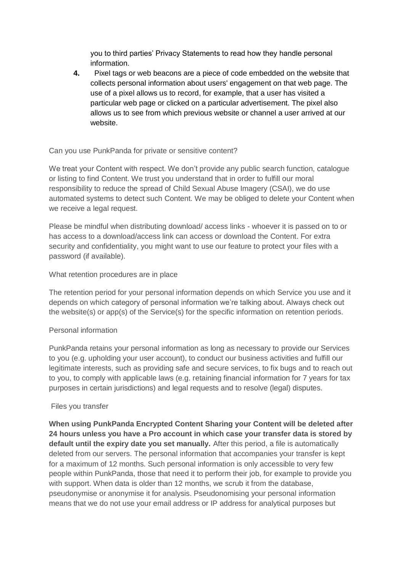you to third parties' Privacy Statements to read how they handle personal information.

**4.** Pixel tags or web beacons are a piece of code embedded on the website that collects personal information about users' engagement on that web page. The use of a pixel allows us to record, for example, that a user has visited a particular web page or clicked on a particular advertisement. The pixel also allows us to see from which previous website or channel a user arrived at our website.

# Can you use PunkPanda for private or sensitive content?

We treat your Content with respect. We don't provide any public search function, catalogue or listing to find Content. We trust you understand that in order to fulfill our moral responsibility to reduce the spread of Child Sexual Abuse Imagery (CSAI), we do use automated systems to detect such Content. We may be obliged to delete your Content when we receive a legal request.

Please be mindful when distributing download/ access links - whoever it is passed on to or has access to a download/access link can access or download the Content. For extra security and confidentiality, you might want to use our feature to protect your files with a password (if available).

### What retention procedures are in place

The retention period for your personal information depends on which Service you use and it depends on which category of personal information we're talking about. Always check out the website(s) or app(s) of the Service(s) for the specific information on retention periods.

# Personal information

PunkPanda retains your personal information as long as necessary to provide our Services to you (e.g. upholding your user account), to conduct our business activities and fulfill our legitimate interests, such as providing safe and secure services, to fix bugs and to reach out to you, to comply with applicable laws (e.g. retaining financial information for 7 years for tax purposes in certain jurisdictions) and legal requests and to resolve (legal) disputes.

### Files you transfer

**When using PunkPanda Encrypted Content Sharing your Content will be deleted after 24 hours unless you have a Pro account in which case your transfer data is stored by default until the expiry date you set manually.** After this period, a file is automatically deleted from our servers. The personal information that accompanies your transfer is kept for a maximum of 12 months. Such personal information is only accessible to very few people within PunkPanda, those that need it to perform their job, for example to provide you with support. When data is older than 12 months, we scrub it from the database, pseudonymise or anonymise it for analysis. Pseudonomising your personal information means that we do not use your email address or IP address for analytical purposes but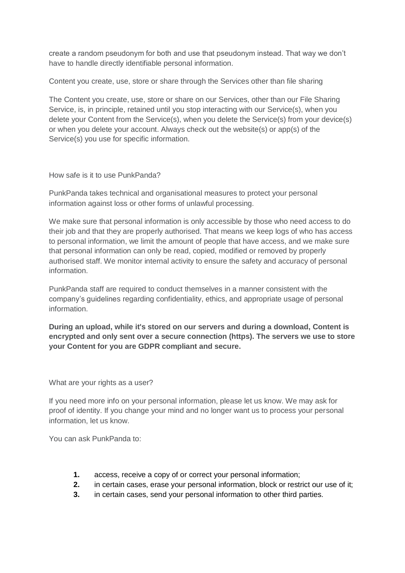create a random pseudonym for both and use that pseudonym instead. That way we don't have to handle directly identifiable personal information.

Content you create, use, store or share through the Services other than file sharing

The Content you create, use, store or share on our Services, other than our File Sharing Service, is, in principle, retained until you stop interacting with our Service(s), when you delete your Content from the Service(s), when you delete the Service(s) from your device(s) or when you delete your account. Always check out the website(s) or app(s) of the Service(s) you use for specific information.

How safe is it to use PunkPanda?

PunkPanda takes technical and organisational measures to protect your personal information against loss or other forms of unlawful processing.

We make sure that personal information is only accessible by those who need access to do their job and that they are properly authorised. That means we keep logs of who has access to personal information, we limit the amount of people that have access, and we make sure that personal information can only be read, copied, modified or removed by properly authorised staff. We monitor internal activity to ensure the safety and accuracy of personal information.

PunkPanda staff are required to conduct themselves in a manner consistent with the company's guidelines regarding confidentiality, ethics, and appropriate usage of personal information.

**During an upload, while it's stored on our servers and during a download, Content is encrypted and only sent over a secure connection (https). The servers we use to store your Content for you are GDPR compliant and secure.**

What are your rights as a user?

If you need more info on your personal information, please let us know. We may ask for proof of identity. If you change your mind and no longer want us to process your personal information, let us know.

You can ask PunkPanda to:

- **1.** access, receive a copy of or correct your personal information;
- **2.** in certain cases, erase your personal information, block or restrict our use of it;
- **3.** in certain cases, send your personal information to other third parties.